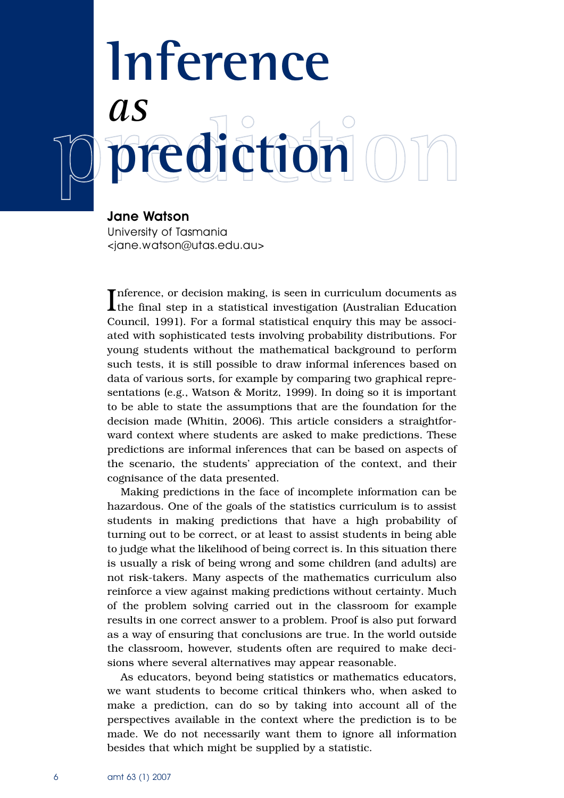## **Inference**  *as*  **prediction**

**Jane Watson** University of Tasmania <jane.watson@utas.edu.au>

Inference, or decision making, is seen in curriculum documents as<br>the final step in a statistical investigation (Australian Education the final step in a statistical investigation (Australian Education Council, 1991). For a formal statistical enquiry this may be associated with sophisticated tests involving probability distributions. For young students without the mathematical background to perform such tests, it is still possible to draw informal inferences based on data of various sorts, for example by comparing two graphical representations (e.g., Watson & Moritz, 1999). In doing so it is important to be able to state the assumptions that are the foundation for the decision made (Whitin, 2006). This article considers a straightforward context where students are asked to make predictions. These predictions are informal inferences that can be based on aspects of the scenario, the students' appreciation of the context, and their cognisance of the data presented.

Making predictions in the face of incomplete information can be hazardous. One of the goals of the statistics curriculum is to assist students in making predictions that have a high probability of turning out to be correct, or at least to assist students in being able to judge what the likelihood of being correct is. In this situation there is usually a risk of being wrong and some children (and adults) are not risk-takers. Many aspects of the mathematics curriculum also reinforce a view against making predictions without certainty. Much of the problem solving carried out in the classroom for example results in one correct answer to a problem. Proof is also put forward as a way of ensuring that conclusions are true. In the world outside the classroom, however, students often are required to make decisions where several alternatives may appear reasonable.

As educators, beyond being statistics or mathematics educators, we want students to become critical thinkers who, when asked to make a prediction, can do so by taking into account all of the perspectives available in the context where the prediction is to be made. We do not necessarily want them to ignore all information besides that which might be supplied by a statistic.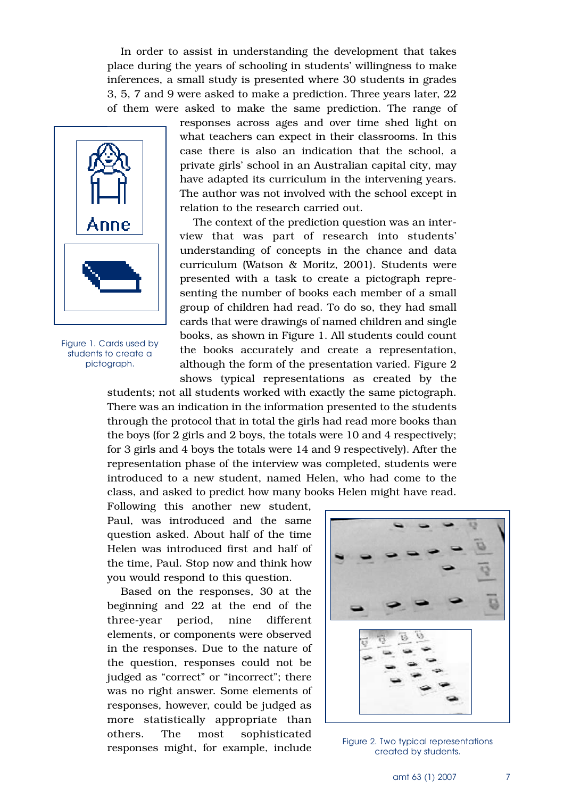In order to assist in understanding the development that takes place during the years of schooling in students' willingness to make inferences, a small study is presented where 30 students in grades 3, 5, 7 and 9 were asked to make a prediction. Three years later, 22 of them were asked to make the same prediction. The range of



Figure 1. Cards used by students to create a pictograph.

responses across ages and over time shed light on what teachers can expect in their classrooms. In this case there is also an indication that the school, a private girls' school in an Australian capital city, may have adapted its curriculum in the intervening years. The author was not involved with the school except in relation to the research carried out.

The context of the prediction question was an interview that was part of research into students' understanding of concepts in the chance and data curriculum (Watson & Moritz, 2001). Students were presented with a task to create a pictograph representing the number of books each member of a small group of children had read. To do so, they had small cards that were drawings of named children and single books, as shown in Figure 1. All students could count the books accurately and create a representation, although the form of the presentation varied. Figure 2 shows typical representations as created by the

students; not all students worked with exactly the same pictograph. There was an indication in the information presented to the students through the protocol that in total the girls had read more books than the boys (for 2 girls and 2 boys, the totals were 10 and 4 respectively; for 3 girls and 4 boys the totals were 14 and 9 respectively). After the representation phase of the interview was completed, students were introduced to a new student, named Helen, who had come to the class, and asked to predict how many books Helen might have read.

Following this another new student, Paul, was introduced and the same question asked. About half of the time Helen was introduced first and half of the time, Paul. Stop now and think how you would respond to this question.

Based on the responses, 30 at the beginning and 22 at the end of the three-year period, nine different elements, or components were observed in the responses. Due to the nature of the question, responses could not be judged as "correct" or "incorrect"; there was no right answer. Some elements of responses, however, could be judged as more statistically appropriate than others. The most sophisticated responses might, for example, include



Figure 2. Two typical representations created by students.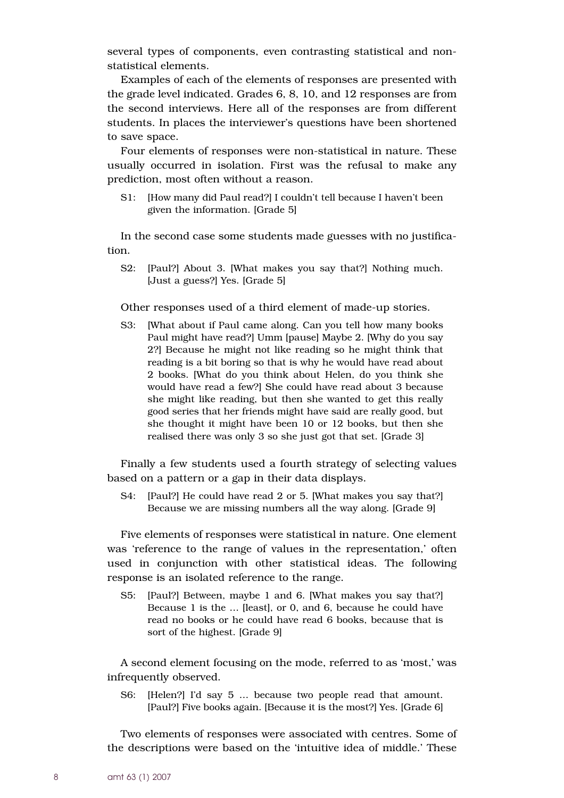several types of components, even contrasting statistical and nonstatistical elements.

Examples of each of the elements of responses are presented with the grade level indicated. Grades 6, 8, 10, and 12 responses are from the second interviews. Here all of the responses are from different students. In places the interviewer's questions have been shortened to save space.

Four elements of responses were non-statistical in nature. These usually occurred in isolation. First was the refusal to make any prediction, most often without a reason.

S1: [How many did Paul read?] I couldn't tell because I haven't been given the information. [Grade 5]

In the second case some students made guesses with no justification.

S2: [Paul?] About 3. [What makes you say that?] Nothing much. [Just a guess?] Yes. [Grade 5]

Other responses used of a third element of made-up stories.

S3: [What about if Paul came along. Can you tell how many books Paul might have read?] Umm [pause] Maybe 2. [Why do you say 2?] Because he might not like reading so he might think that reading is a bit boring so that is why he would have read about 2 books. [What do you think about Helen, do you think she would have read a few?] She could have read about 3 because she might like reading, but then she wanted to get this really good series that her friends might have said are really good, but she thought it might have been 10 or 12 books, but then she realised there was only 3 so she just got that set. [Grade 3]

Finally a few students used a fourth strategy of selecting values based on a pattern or a gap in their data displays.

S4: [Paul?] He could have read 2 or 5. [What makes you say that?] Because we are missing numbers all the way along. [Grade 9]

Five elements of responses were statistical in nature. One element was 'reference to the range of values in the representation,' often used in conjunction with other statistical ideas. The following response is an isolated reference to the range.

S5: [Paul?] Between, maybe 1 and 6. [What makes you say that?] Because 1 is the … [least], or 0, and 6, because he could have read no books or he could have read 6 books, because that is sort of the highest. [Grade 9]

A second element focusing on the mode, referred to as 'most,' was infrequently observed.

S6: [Helen?] I'd say 5 … because two people read that amount. [Paul?] Five books again. [Because it is the most?] Yes. [Grade 6]

Two elements of responses were associated with centres. Some of the descriptions were based on the 'intuitive idea of middle.' These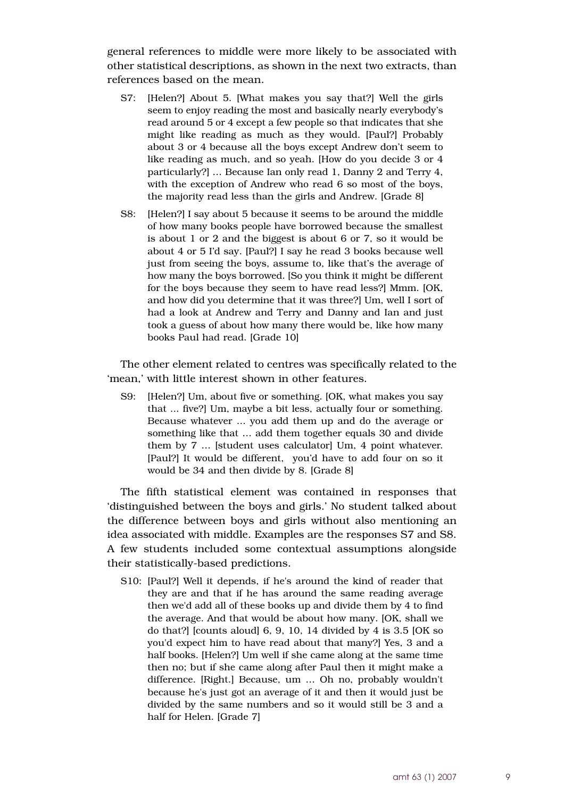general references to middle were more likely to be associated with other statistical descriptions, as shown in the next two extracts, than references based on the mean.

- S7: [Helen?] About 5. [What makes you say that?] Well the girls seem to enjoy reading the most and basically nearly everybody's read around 5 or 4 except a few people so that indicates that she might like reading as much as they would. [Paul?] Probably about 3 or 4 because all the boys except Andrew don't seem to like reading as much, and so yeah. [How do you decide 3 or 4 particularly?] … Because Ian only read 1, Danny 2 and Terry 4, with the exception of Andrew who read 6 so most of the boys, the majority read less than the girls and Andrew. [Grade 8]
- S8: [Helen?] I say about 5 because it seems to be around the middle of how many books people have borrowed because the smallest is about 1 or 2 and the biggest is about 6 or 7, so it would be about 4 or 5 I'd say. [Paul?] I say he read 3 books because well just from seeing the boys, assume to, like that's the average of how many the boys borrowed. [So you think it might be different for the boys because they seem to have read less?] Mmm. [OK, and how did you determine that it was three?] Um, well I sort of had a look at Andrew and Terry and Danny and Ian and just took a guess of about how many there would be, like how many books Paul had read. [Grade 10]

The other element related to centres was specifically related to the 'mean,' with little interest shown in other features.

S9: [Helen?] Um, about five or something. [OK, what makes you say that ... five?] Um, maybe a bit less, actually four or something. Because whatever ... you add them up and do the average or something like that … add them together equals 30 and divide them by 7 … [student uses calculator] Um, 4 point whatever. [Paul?] It would be different, you'd have to add four on so it would be 34 and then divide by 8. [Grade 8]

The fifth statistical element was contained in responses that 'distinguished between the boys and girls.' No student talked about the difference between boys and girls without also mentioning an idea associated with middle. Examples are the responses S7 and S8. A few students included some contextual assumptions alongside their statistically-based predictions.

S10: [Paul?] Well it depends, if he's around the kind of reader that they are and that if he has around the same reading average then we'd add all of these books up and divide them by 4 to find the average. And that would be about how many. [OK, shall we do that?] [counts aloud] 6, 9, 10, 14 divided by 4 is 3.5 [OK so you'd expect him to have read about that many?] Yes, 3 and a half books. [Helen?] Um well if she came along at the same time then no; but if she came along after Paul then it might make a difference. [Right.] Because, um … Oh no, probably wouldn't because he's just got an average of it and then it would just be divided by the same numbers and so it would still be 3 and a half for Helen. [Grade 7]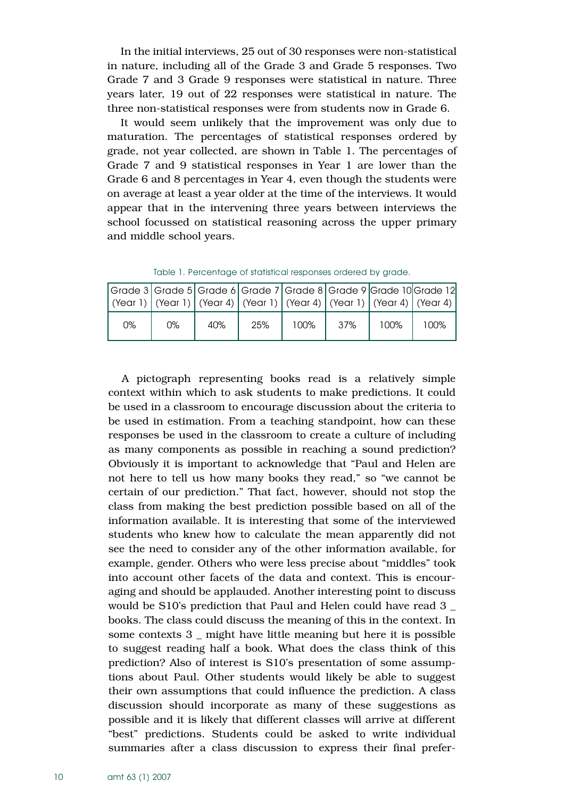In the initial interviews, 25 out of 30 responses were non-statistical in nature, including all of the Grade 3 and Grade 5 responses. Two Grade 7 and 3 Grade 9 responses were statistical in nature. Three years later, 19 out of 22 responses were statistical in nature. The three non-statistical responses were from students now in Grade 6.

It would seem unlikely that the improvement was only due to maturation. The percentages of statistical responses ordered by grade, not year collected, are shown in Table 1. The percentages of Grade 7 and 9 statistical responses in Year 1 are lower than the Grade 6 and 8 percentages in Year 4, even though the students were on average at least a year older at the time of the interviews. It would appear that in the intervening three years between interviews the school focussed on statistical reasoning across the upper primary and middle school years.

Grade 3 (Year 1) Grade 5 Grade 6 (Year 1) (Year 4) Grade 7 (Year 1) Grade 8 Grade 9 Grade 10 Grade 12 (Year 4) (Year 1) (Year 4) (Year 4) 0% 0% 40% 25% 100% 37% 100% 100%

Table 1. Percentage of statistical responses ordered by grade.

A pictograph representing books read is a relatively simple context within which to ask students to make predictions. It could be used in a classroom to encourage discussion about the criteria to be used in estimation. From a teaching standpoint, how can these responses be used in the classroom to create a culture of including as many components as possible in reaching a sound prediction? Obviously it is important to acknowledge that "Paul and Helen are not here to tell us how many books they read," so "we cannot be certain of our prediction." That fact, however, should not stop the class from making the best prediction possible based on all of the information available. It is interesting that some of the interviewed students who knew how to calculate the mean apparently did not see the need to consider any of the other information available, for example, gender. Others who were less precise about "middles" took into account other facets of the data and context. This is encouraging and should be applauded. Another interesting point to discuss would be S10's prediction that Paul and Helen could have read 3 \_ books. The class could discuss the meaning of this in the context. In some contexts 3 \_ might have little meaning but here it is possible to suggest reading half a book. What does the class think of this prediction? Also of interest is S10's presentation of some assumptions about Paul. Other students would likely be able to suggest their own assumptions that could influence the prediction. A class discussion should incorporate as many of these suggestions as possible and it is likely that different classes will arrive at different "best" predictions. Students could be asked to write individual summaries after a class discussion to express their final prefer